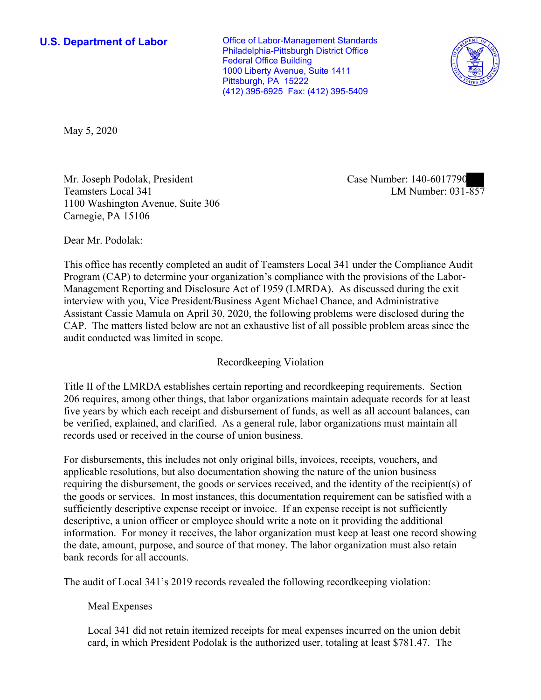Philadelphia-Pittsburgh District Office 1000 Liberty Avenue, Suite 1411 Pittsburgh, PA 15222 (412) 395-6925 Fax: (412) 395-5409 **U.S. Department of Labor Conservative Conservative Conservative Conservative Conservative Conservative Conservative Conservative Conservative Conservative Conservative Conservative Conservative Conservative Conservative** Federal Office Building



May 5, 2020

NIT. Joseph Podolak, President<br>Teamsters Local 341 LM Number: 031-857 Mr. Joseph Podolak, President Case Number: 140-6017790 1100 Washington Avenue, Suite 306 Carnegie, PA 15106

Dear Mr. Podolak:

This office has recently completed an audit of Teamsters Local 341 under the Compliance Audit Program (CAP) to determine your organization's compliance with the provisions of the Labor-Management Reporting and Disclosure Act of 1959 (LMRDA). As discussed during the exit interview with you, Vice President/Business Agent Michael Chance, and Administrative Assistant Cassie Mamula on April 30, 2020, the following problems were disclosed during the CAP. The matters listed below are not an exhaustive list of all possible problem areas since the audit conducted was limited in scope.

# Recordkeeping Violation

 206 requires, among other things, that labor organizations maintain adequate records for at least be verified, explained, and clarified. As a general rule, labor organizations must maintain all Title II of the LMRDA establishes certain reporting and recordkeeping requirements. Section five years by which each receipt and disbursement of funds, as well as all account balances, can records used or received in the course of union business.

For disbursements, this includes not only original bills, invoices, receipts, vouchers, and applicable resolutions, but also documentation showing the nature of the union business requiring the disbursement, the goods or services received, and the identity of the recipient(s) of the goods or services. In most instances, this documentation requirement can be satisfied with a sufficiently descriptive expense receipt or invoice. If an expense receipt is not sufficiently descriptive, a union officer or employee should write a note on it providing the additional information. For money it receives, the labor organization must keep at least one record showing the date, amount, purpose, and source of that money. The labor organization must also retain bank records for all accounts.

The audit of Local 341's 2019 records revealed the following recordkeeping violation:

# Meal Expenses

 Local 341 did not retain itemized receipts for meal expenses incurred on the union debit card, in which President Podolak is the authorized user, totaling at least \$781.47. The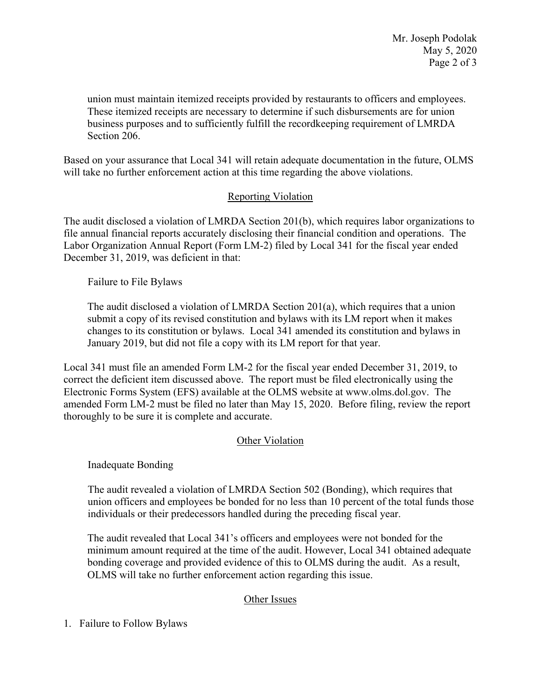Mr. Joseph Podolak May 5, 2020 Page 2 of 3

union must maintain itemized receipts provided by restaurants to officers and employees. Section 206. These itemized receipts are necessary to determine if such disbursements are for union business purposes and to sufficiently fulfill the recordkeeping requirement of LMRDA

Based on your assurance that Local 341 will retain adequate documentation in the future, OLMS will take no further enforcement action at this time regarding the above violations.

# Reporting Violation

 The audit disclosed a violation of LMRDA Section 201(b), which requires labor organizations to file annual financial reports accurately disclosing their financial condition and operations. The Labor Organization Annual Report (Form LM-2) filed by Local 341 for the fiscal year ended December 31, 2019, was deficient in that:

Failure to File Bylaws

 January 2019, but did not file a copy with its LM report for that year. The audit disclosed a violation of LMRDA Section 201(a), which requires that a union submit a copy of its revised constitution and bylaws with its LM report when it makes changes to its constitution or bylaws. Local 341 amended its constitution and bylaws in

Local 341 must file an amended Form LM-2 for the fiscal year ended December 31, 2019, to correct the deficient item discussed above. The report must be filed electronically using the Electronic Forms System (EFS) available at the OLMS website at [www.olms.dol.gov.](www.olms.dol.gov) The amended Form LM-2 must be filed no later than May 15, 2020. Before filing, review the report thoroughly to be sure it is complete and accurate.

### **Other Violation**

Inadequate Bonding

The audit revealed a violation of LMRDA Section 502 (Bonding), which requires that union officers and employees be bonded for no less than 10 percent of the total funds those individuals or their predecessors handled during the preceding fiscal year.

 OLMS will take no further enforcement action regarding this issue. The audit revealed that Local 341's officers and employees were not bonded for the minimum amount required at the time of the audit. However, Local 341 obtained adequate bonding coverage and provided evidence of this to OLMS during the audit. As a result,

# Other Issues

1. Failure to Follow Bylaws